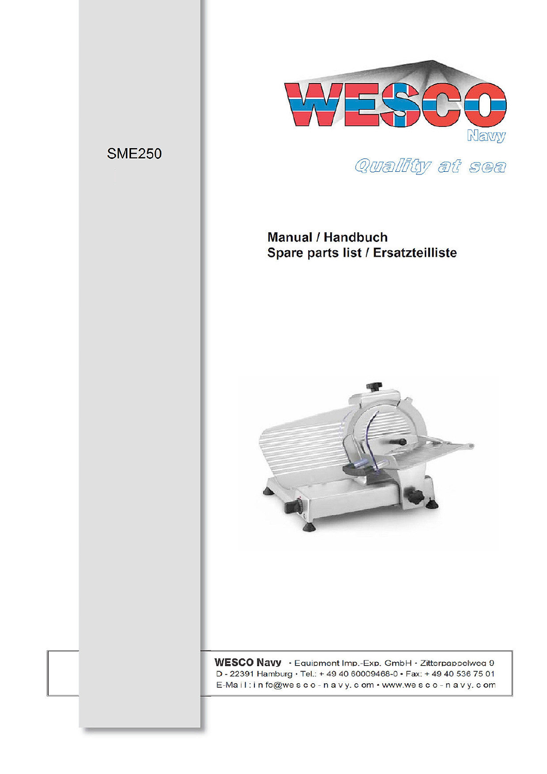

Quality at sea

# **Manual / Handbuch** Spare parts list / Ersatzteilliste

**SME250** 



WESCO Navy · Equipment Imp.-Exp. GmbH · Zitterpappelweg 9 D - 22391 Hamburg · Tel.: + 49 40 60009468-0 · Fax: + 49 40 536 75 01 E-Mail: in fo@wesco-navy.com • www.wesco-navy.com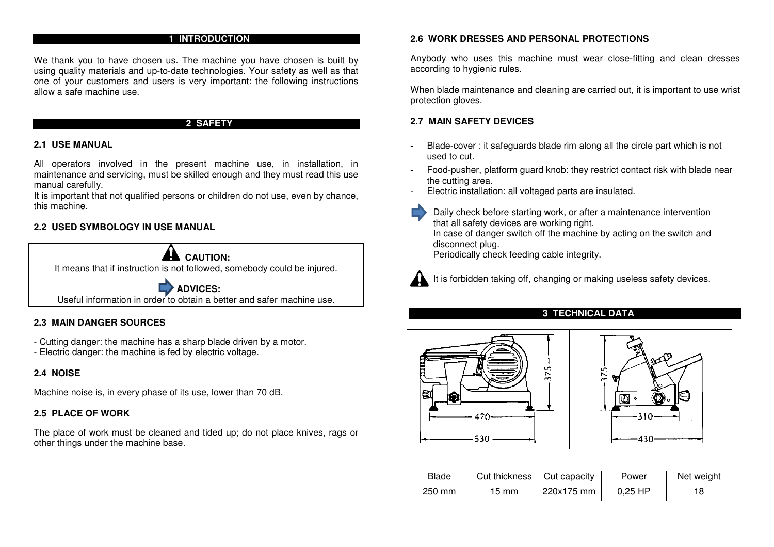# **1 INTRODUCTION**

We thank you to have chosen us. The machine you have chosen is built by using quality materials and up-to-date technologies. Your safety as well as that one of your customers and users is very important: the following instructions allow a safe machine use.

# **2 SAFETY**

#### **2.1 USE MANUAL**

All operators involved in the present machine use, in installation, in maintenance and servicing, must be skilled enough and they must read this use manual carefully.

It is important that not qualified persons or children do not use, even by chance, this machine.

### **2.2 USED SYMBOLOGY IN USE MANUAL**



# **2.3 MAIN DANGER SOURCES**

- Cutting danger: the machine has a sharp blade driven by a motor.
- Electric danger: the machine is fed by electric voltage.

# **2.4 NOISE**

Machine noise is, in every phase of its use, lower than 70 dB.

#### **2.5 PLACE OF WORK**

The place of work must be cleaned and tided up; do not place knives, rags or other things under the machine base.

#### **2.6 WORK DRESSES AND PERSONAL PROTECTIONS**

Anybody who uses this machine must wear close-fitting and clean dresses according to hygienic rules.

When blade maintenance and cleaning are carried out, it is important to use wrist protection gloves.

#### **2.7 MAIN SAFETY DEVICES**

- Blade-cover : it safeguards blade rim along all the circle part which is not used to cut.
- Food-pusher, platform guard knob: they restrict contact risk with blade near the cutting area.
- Electric installation: all voltaged parts are insulated.
	- Daily check before starting work, or after a maintenance intervention that all safety devices are working right. In case of danger switch off the machine by acting on the switch and disconnect plug. Periodically check feeding cable integrity.

It is forbidden taking off, changing or making useless safety devices.

# **3 TECHNICAL DATA**





| Blade  | Cut thickness   | Cut capacity | Power     | Net weight |
|--------|-----------------|--------------|-----------|------------|
| 250 mm | $15 \text{ mm}$ | 220x175 mm   | $0.25$ HP | 18         |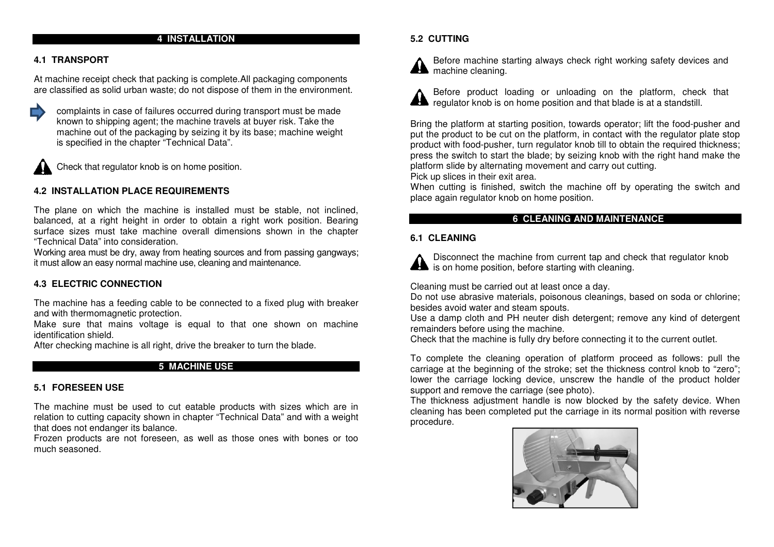### **4 INSTALLATION**

# **4.1 TRANSPORT**

At machine receipt check that packing is complete.All packaging components are classified as solid urban waste; do not dispose of them in the environment.



 complaints in case of failures occurred during transport must be made known to shipping agent; the machine travels at buyer risk. Take the machine out of the packaging by seizing it by its base; machine weight is specified in the chapter "Technical Data".



Check that regulator knob is on home position.

# **4.2 INSTALLATION PLACE REQUIREMENTS**

The plane on which the machine is installed must be stable, not inclined, balanced, at a right height in order to obtain a right work position. Bearing surface sizes must take machine overall dimensions shown in the chapter "Technical Data" into consideration.

Working area must be dry, away from heating sources and from passing gangways; it must allow an easy normal machine use, cleaning and maintenance.

### **4.3 ELECTRIC CONNECTION**

The machine has a feeding cable to be connected to a fixed plug with breaker and with thermomagnetic protection.

Make sure that mains voltage is equal to that one shown on machine identification shield.

After checking machine is all right, drive the breaker to turn the blade.

# **5 MACHINE USE**

#### **5.1 FORESEEN USE**

The machine must be used to cut eatable products with sizes which are in relation to cutting capacity shown in chapter "Technical Data" and with a weight that does not endanger its balance.

Frozen products are not foreseen, as well as those ones with bones or too much seasoned.

### **5.2 CUTTING**

Before machine starting always check right working safety devices and **AM** machine cleaning.



Before product loading or unloading on the platform, check that regulator knob is on home position and that blade is at a standstill.

Bring the platform at starting position, towards operator; lift the food-pusher and put the product to be cut on the platform, in contact with the regulator plate stop product with food-pusher, turn regulator knob till to obtain the required thickness; press the switch to start the blade; by seizing knob with the right hand make the platform slide by alternating movement and carry out cutting.

Pick up slices in their exit area.

When cutting is finished, switch the machine off by operating the switch and place again regulator knob on home position.

# **6 CLEANING AND MAINTENANCE**

#### **6.1 CLEANING**



Disconnect the machine from current tap and check that regulator knob **Als** is on home position, before starting with cleaning.

Cleaning must be carried out at least once a day.

Do not use abrasive materials, poisonous cleanings, based on soda or chlorine; besides avoid water and steam spouts.

Use a damp cloth and PH neuter dish detergent; remove any kind of detergent remainders before using the machine.

Check that the machine is fully dry before connecting it to the current outlet.

To complete the cleaning operation of platform proceed as follows: pull the carriage at the beginning of the stroke; set the thickness control knob to "zero"; lower the carriage locking device, unscrew the handle of the product holder support and remove the carriage (see photo).

The thickness adjustment handle is now blocked by the safety device. When cleaning has been completed put the carriage in its normal position with reverse procedure.

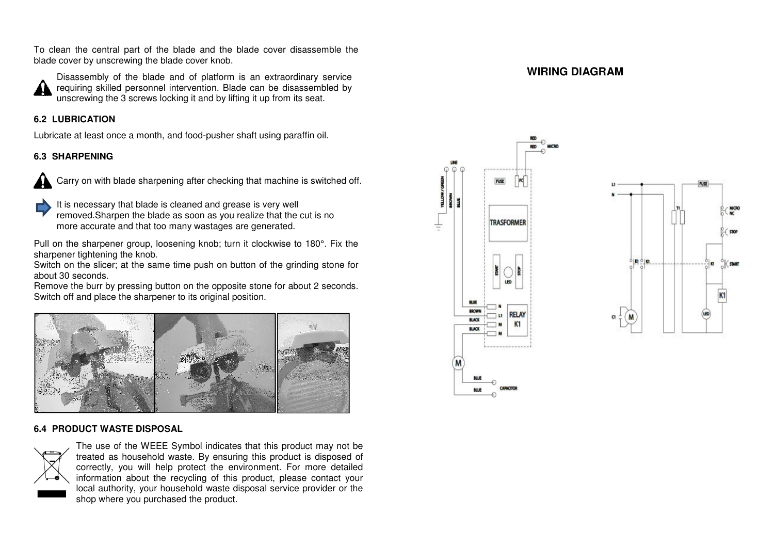To clean the central part of the blade and the blade cover disassemble the blade cover by unscrewing the blade cover knob.



Disassembly of the blade and of platform is an extraordinary service requiring skilled personnel intervention. Blade can be disassembled by unscrewing the 3 screws locking it and by lifting it up fro from its seat.

# **6.2 LUBRICATION**

Lubricate at least once a month, and food-pusher shaft using g paraffin oil.

# **6.3 SHARPENING**



Carry on with blade sharpening after checking that machine is switched off.

It is necessary that blade is cleaned and grease is very well removed.Sharpen the blade as soon as you realize that the cut is no

more accurate and that too many wastages are generated.

Pull on the sharpener group, loosening knob; turn it clockwise to 180°. Fix the sharpener tightening the knob.

Switch on the slicer; at the same time push on button of the grinding stone for about 30 seconds.

Remove the burr by pressing button on the opposite stone for about 2 seconds. Switch off and place the sharpener to its original position.



# **6.4 PRODUCT WASTE DISPOSAL**



The use of the WEEE Symbol indicates that this product may not be treated as household waste. By ensuring this product is disposed of correctly, you will help protect the environment. For more detailed information about the recycling of this product, please contact your local authority, your household waste disposal service provider or the shop where you purchased the product.

# **WIRING DIAGRAM**



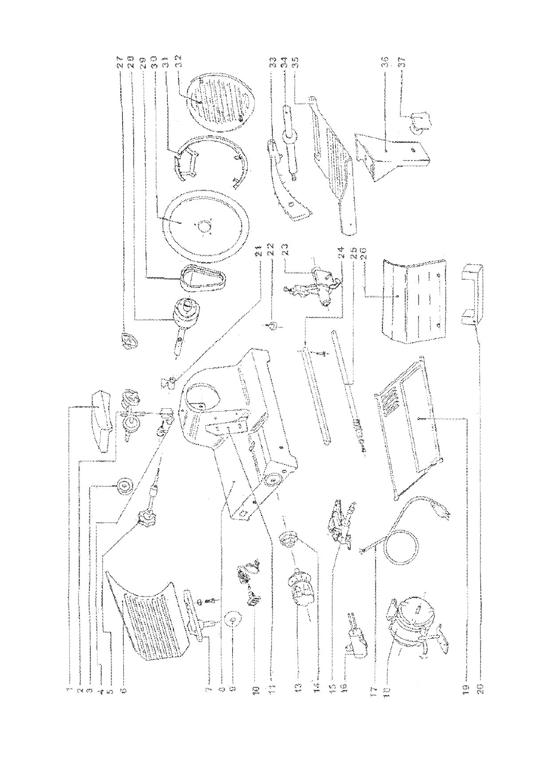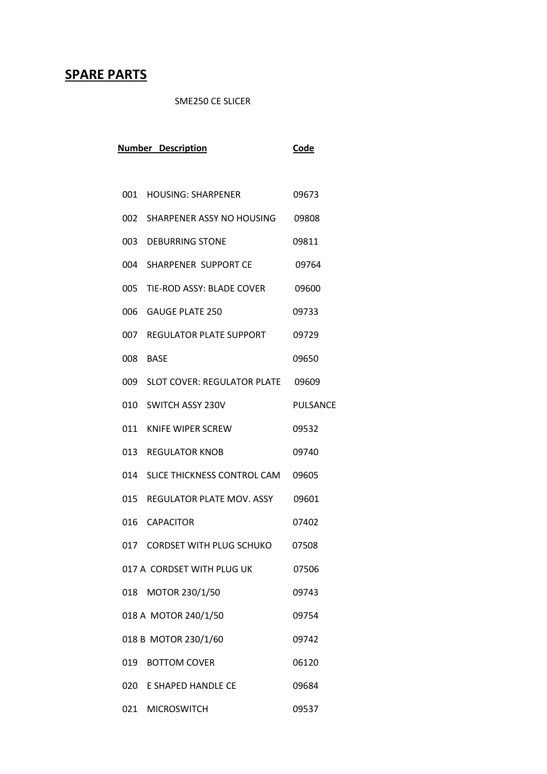# **SPARE PARTS**

SME250 CE SLICER

| <b>Number Description</b> | <b>Code</b>                           |                 |
|---------------------------|---------------------------------------|-----------------|
|                           |                                       |                 |
|                           | 001 HOUSING: SHARPENER                | 09673           |
|                           | 002 SHARPENER ASSY NO HOUSING         | 09808           |
|                           | 003 DEBURRING STONE                   | 09811           |
|                           | 004 SHARPENER SUPPORT CE              | 09764           |
| 005                       | TIE-ROD ASSY: BLADE COVER             | 09600           |
| 006                       | <b>GAUGE PLATE 250</b>                | 09733           |
| 007                       | REGULATOR PLATE SUPPORT               | 09729           |
|                           | 008 BASE                              | 09650           |
|                           | 009 SLOT COVER: REGULATOR PLATE 09609 |                 |
|                           | 010 SWITCH ASSY 230V                  | <b>PULSANCE</b> |
|                           | 011 KNIFE WIPER SCREW                 | 09532           |
|                           | 013 REGULATOR KNOB                    | 09740           |
| 014                       | SLICE THICKNESS CONTROL CAM           | 09605           |
| 015                       | REGULATOR PLATE MOV. ASSY             | 09601           |
|                           | 016 CAPACITOR                         | 07402           |
|                           | 017 CORDSET WITH PLUG SCHUKO          | 07508           |
|                           | 017 A CORDSET WITH PLUG UK            | 07506           |
| 018                       | MOTOR 230/1/50                        | 09743           |
|                           | 018 A MOTOR 240/1/50                  | 09754           |
|                           | 018 B MOTOR 230/1/60                  | 09742           |
|                           | 019 BOTTOM COVER                      | 06120           |
|                           | 020 E SHAPED HANDLE CE                | 09684           |
|                           | 021 MICROSWITCH                       | 09537           |